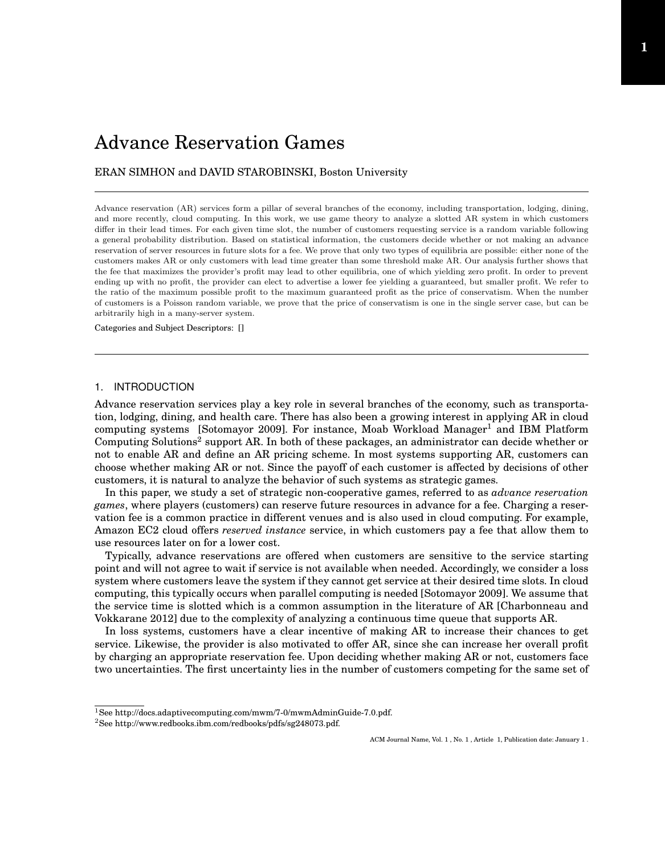# Advance Reservation Games

## ERAN SIMHON and DAVID STAROBINSKI, Boston University

Advance reservation (AR) services form a pillar of several branches of the economy, including transportation, lodging, dining, and more recently, cloud computing. In this work, we use game theory to analyze a slotted AR system in which customers differ in their lead times. For each given time slot, the number of customers requesting service is a random variable following a general probability distribution. Based on statistical information, the customers decide whether or not making an advance reservation of server resources in future slots for a fee. We prove that only two types of equilibria are possible: either none of the customers makes AR or only customers with lead time greater than some threshold make AR. Our analysis further shows that the fee that maximizes the provider's profit may lead to other equilibria, one of which yielding zero profit. In order to prevent ending up with no profit, the provider can elect to advertise a lower fee yielding a guaranteed, but smaller profit. We refer to the ratio of the maximum possible profit to the maximum guaranteed profit as the price of conservatism. When the number of customers is a Poisson random variable, we prove that the price of conservatism is one in the single server case, but can be arbitrarily high in a many-server system.

Categories and Subject Descriptors: []

#### 1. INTRODUCTION

Advance reservation services play a key role in several branches of the economy, such as transportation, lodging, dining, and health care. There has also been a growing interest in applying AR in cloud computing systems [Sotomayor 2009]. For instance, Moab Workload Manager<sup>1</sup> and IBM Platform Computing Solutions<sup>2</sup> support AR. In both of these packages, an administrator can decide whether or not to enable AR and define an AR pricing scheme. In most systems supporting AR, customers can choose whether making AR or not. Since the payoff of each customer is affected by decisions of other customers, it is natural to analyze the behavior of such systems as strategic games.

In this paper, we study a set of strategic non-cooperative games, referred to as *advance reservation games*, where players (customers) can reserve future resources in advance for a fee. Charging a reservation fee is a common practice in different venues and is also used in cloud computing. For example, Amazon EC2 cloud offers *reserved instance* service, in which customers pay a fee that allow them to use resources later on for a lower cost.

Typically, advance reservations are offered when customers are sensitive to the service starting point and will not agree to wait if service is not available when needed. Accordingly, we consider a loss system where customers leave the system if they cannot get service at their desired time slots. In cloud computing, this typically occurs when parallel computing is needed [Sotomayor 2009]. We assume that the service time is slotted which is a common assumption in the literature of AR [Charbonneau and Vokkarane 2012] due to the complexity of analyzing a continuous time queue that supports AR.

In loss systems, customers have a clear incentive of making AR to increase their chances to get service. Likewise, the provider is also motivated to offer AR, since she can increase her overall profit by charging an appropriate reservation fee. Upon deciding whether making AR or not, customers face two uncertainties. The first uncertainty lies in the number of customers competing for the same set of

<sup>1</sup>See http://docs.adaptivecomputing.com/mwm/7-0/mwmAdminGuide-7.0.pdf.

<sup>2</sup>See http://www.redbooks.ibm.com/redbooks/pdfs/sg248073.pdf.

ACM Journal Name, Vol. 1 , No. 1 , Article 1, Publication date: January 1 .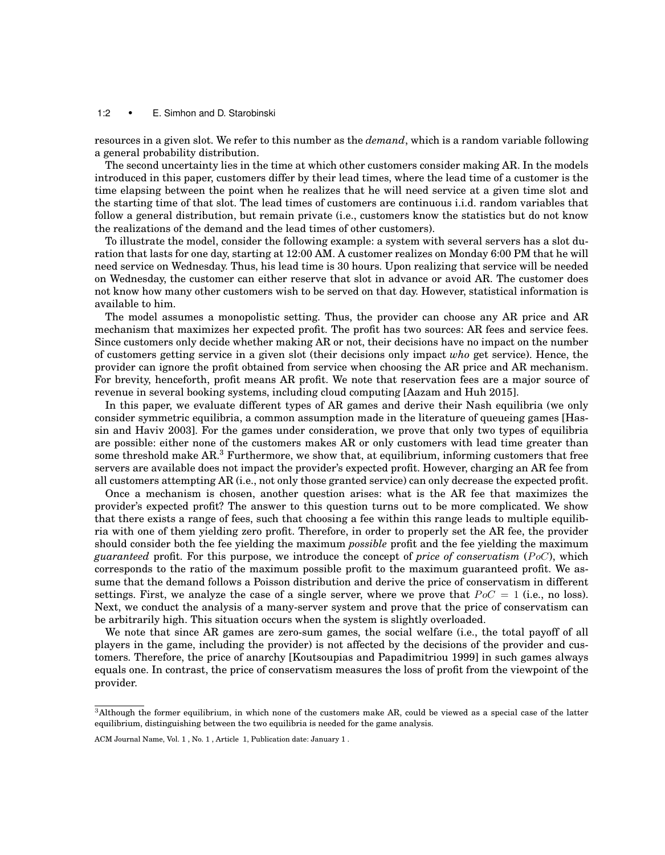#### 1:2 • E. Simhon and D. Starobinski

resources in a given slot. We refer to this number as the *demand*, which is a random variable following a general probability distribution.

The second uncertainty lies in the time at which other customers consider making AR. In the models introduced in this paper, customers differ by their lead times, where the lead time of a customer is the time elapsing between the point when he realizes that he will need service at a given time slot and the starting time of that slot. The lead times of customers are continuous i.i.d. random variables that follow a general distribution, but remain private (i.e., customers know the statistics but do not know the realizations of the demand and the lead times of other customers).

To illustrate the model, consider the following example: a system with several servers has a slot duration that lasts for one day, starting at 12:00 AM. A customer realizes on Monday 6:00 PM that he will need service on Wednesday. Thus, his lead time is 30 hours. Upon realizing that service will be needed on Wednesday, the customer can either reserve that slot in advance or avoid AR. The customer does not know how many other customers wish to be served on that day. However, statistical information is available to him.

The model assumes a monopolistic setting. Thus, the provider can choose any AR price and AR mechanism that maximizes her expected profit. The profit has two sources: AR fees and service fees. Since customers only decide whether making AR or not, their decisions have no impact on the number of customers getting service in a given slot (their decisions only impact *who* get service). Hence, the provider can ignore the profit obtained from service when choosing the AR price and AR mechanism. For brevity, henceforth, profit means AR profit. We note that reservation fees are a major source of revenue in several booking systems, including cloud computing [Aazam and Huh 2015].

In this paper, we evaluate different types of AR games and derive their Nash equilibria (we only consider symmetric equilibria, a common assumption made in the literature of queueing games [Hassin and Haviv 2003]. For the games under consideration, we prove that only two types of equilibria are possible: either none of the customers makes AR or only customers with lead time greater than some threshold make  $AR^3$  Furthermore, we show that, at equilibrium, informing customers that free servers are available does not impact the provider's expected profit. However, charging an AR fee from all customers attempting AR (i.e., not only those granted service) can only decrease the expected profit.

Once a mechanism is chosen, another question arises: what is the AR fee that maximizes the provider's expected profit? The answer to this question turns out to be more complicated. We show that there exists a range of fees, such that choosing a fee within this range leads to multiple equilibria with one of them yielding zero profit. Therefore, in order to properly set the AR fee, the provider should consider both the fee yielding the maximum *possible* profit and the fee yielding the maximum *guaranteed* profit. For this purpose, we introduce the concept of *price of conservatism* (PoC), which corresponds to the ratio of the maximum possible profit to the maximum guaranteed profit. We assume that the demand follows a Poisson distribution and derive the price of conservatism in different settings. First, we analyze the case of a single server, where we prove that  $PoC = 1$  (i.e., no loss). Next, we conduct the analysis of a many-server system and prove that the price of conservatism can be arbitrarily high. This situation occurs when the system is slightly overloaded.

We note that since AR games are zero-sum games, the social welfare (i.e., the total payoff of all players in the game, including the provider) is not affected by the decisions of the provider and customers. Therefore, the price of anarchy [Koutsoupias and Papadimitriou 1999] in such games always equals one. In contrast, the price of conservatism measures the loss of profit from the viewpoint of the provider.

<sup>3</sup>Although the former equilibrium, in which none of the customers make AR, could be viewed as a special case of the latter equilibrium, distinguishing between the two equilibria is needed for the game analysis.

ACM Journal Name, Vol. 1 , No. 1 , Article 1, Publication date: January 1 .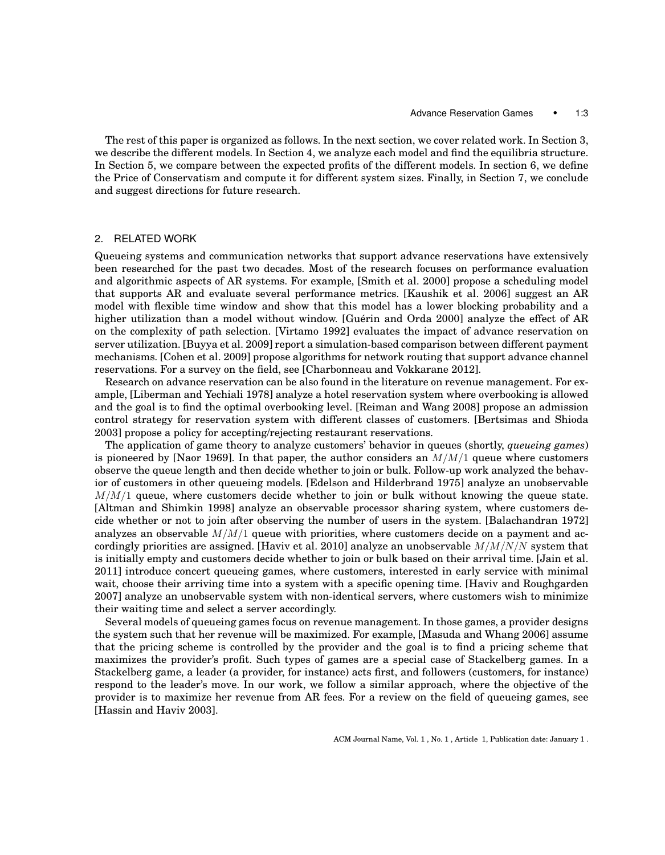The rest of this paper is organized as follows. In the next section, we cover related work. In Section 3, we describe the different models. In Section 4, we analyze each model and find the equilibria structure. In Section 5, we compare between the expected profits of the different models. In section 6, we define the Price of Conservatism and compute it for different system sizes. Finally, in Section 7, we conclude and suggest directions for future research.

## 2. RELATED WORK

Queueing systems and communication networks that support advance reservations have extensively been researched for the past two decades. Most of the research focuses on performance evaluation and algorithmic aspects of AR systems. For example, [Smith et al. 2000] propose a scheduling model that supports AR and evaluate several performance metrics. [Kaushik et al. 2006] suggest an AR model with flexible time window and show that this model has a lower blocking probability and a higher utilization than a model without window. [Guérin and Orda 2000] analyze the effect of AR on the complexity of path selection. [Virtamo 1992] evaluates the impact of advance reservation on server utilization. [Buyya et al. 2009] report a simulation-based comparison between different payment mechanisms. [Cohen et al. 2009] propose algorithms for network routing that support advance channel reservations. For a survey on the field, see [Charbonneau and Vokkarane 2012].

Research on advance reservation can be also found in the literature on revenue management. For example, [Liberman and Yechiali 1978] analyze a hotel reservation system where overbooking is allowed and the goal is to find the optimal overbooking level. [Reiman and Wang 2008] propose an admission control strategy for reservation system with different classes of customers. [Bertsimas and Shioda 2003] propose a policy for accepting/rejecting restaurant reservations.

The application of game theory to analyze customers' behavior in queues (shortly, *queueing games*) is pioneered by [Naor 1969]. In that paper, the author considers an  $M/M/1$  queue where customers observe the queue length and then decide whether to join or bulk. Follow-up work analyzed the behavior of customers in other queueing models. [Edelson and Hilderbrand 1975] analyze an unobservable  $M/M/1$  queue, where customers decide whether to join or bulk without knowing the queue state. [Altman and Shimkin 1998] analyze an observable processor sharing system, where customers decide whether or not to join after observing the number of users in the system. [Balachandran 1972] analyzes an observable  $M/M/1$  queue with priorities, where customers decide on a payment and accordingly priorities are assigned. [Haviv et al. 2010] analyze an unobservable  $M/M/N/N$  system that is initially empty and customers decide whether to join or bulk based on their arrival time. [Jain et al. 2011] introduce concert queueing games, where customers, interested in early service with minimal wait, choose their arriving time into a system with a specific opening time. [Haviv and Roughgarden] 2007] analyze an unobservable system with non-identical servers, where customers wish to minimize their waiting time and select a server accordingly.

Several models of queueing games focus on revenue management. In those games, a provider designs the system such that her revenue will be maximized. For example, [Masuda and Whang 2006] assume that the pricing scheme is controlled by the provider and the goal is to find a pricing scheme that maximizes the provider's profit. Such types of games are a special case of Stackelberg games. In a Stackelberg game, a leader (a provider, for instance) acts first, and followers (customers, for instance) respond to the leader's move. In our work, we follow a similar approach, where the objective of the provider is to maximize her revenue from AR fees. For a review on the field of queueing games, see [Hassin and Haviv 2003].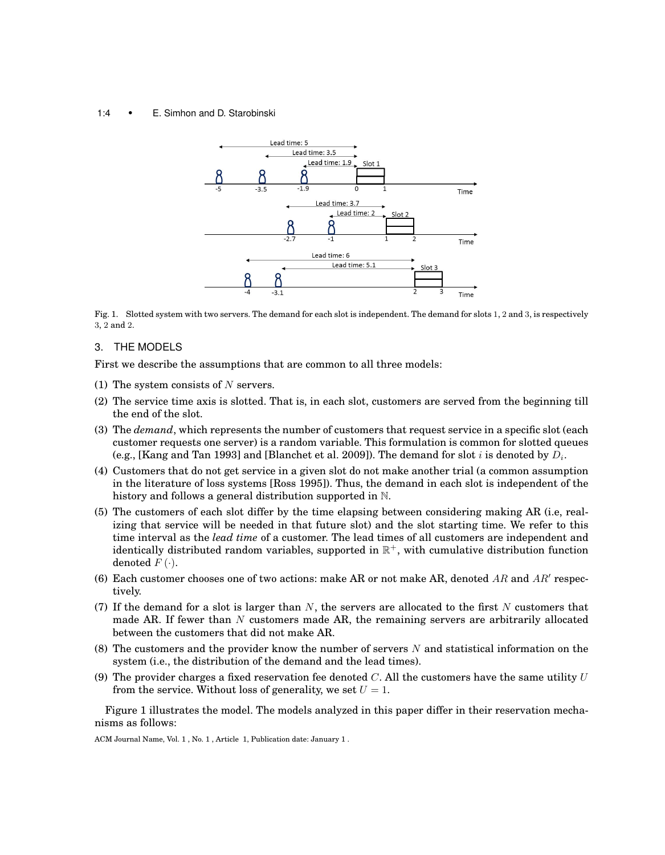#### 1:4 • E. Simhon and D. Starobinski



Fig. 1. Slotted system with two servers. The demand for each slot is independent. The demand for slots 1, 2 and 3, is respectively 3, 2 and 2.

## 3. THE MODELS

First we describe the assumptions that are common to all three models:

- (1) The system consists of  $N$  servers.
- (2) The service time axis is slotted. That is, in each slot, customers are served from the beginning till the end of the slot.
- (3) The *demand*, which represents the number of customers that request service in a specific slot (each customer requests one server) is a random variable. This formulation is common for slotted queues (e.g., [Kang and Tan 1993] and [Blanchet et al. 2009]). The demand for slot  $i$  is denoted by  $D_i.$
- (4) Customers that do not get service in a given slot do not make another trial (a common assumption in the literature of loss systems [Ross 1995]). Thus, the demand in each slot is independent of the history and follows a general distribution supported in N.
- (5) The customers of each slot differ by the time elapsing between considering making AR (i.e, realizing that service will be needed in that future slot) and the slot starting time. We refer to this time interval as the *lead time* of a customer. The lead times of all customers are independent and identically distributed random variables, supported in  $\mathbb{R}^+$ , with cumulative distribution function denoted  $F(\cdot)$ .
- (6) Each customer chooses one of two actions: make AR or not make AR, denoted  $AR$  and  $AR'$  respectively.
- (7) If the demand for a slot is larger than  $N$ , the servers are allocated to the first  $N$  customers that made AR. If fewer than  $N$  customers made AR, the remaining servers are arbitrarily allocated between the customers that did not make AR.
- (8) The customers and the provider know the number of servers  $N$  and statistical information on the system (i.e., the distribution of the demand and the lead times).
- (9) The provider charges a fixed reservation fee denoted  $C$ . All the customers have the same utility  $U$ from the service. Without loss of generality, we set  $U = 1$ .

Figure 1 illustrates the model. The models analyzed in this paper differ in their reservation mechanisms as follows: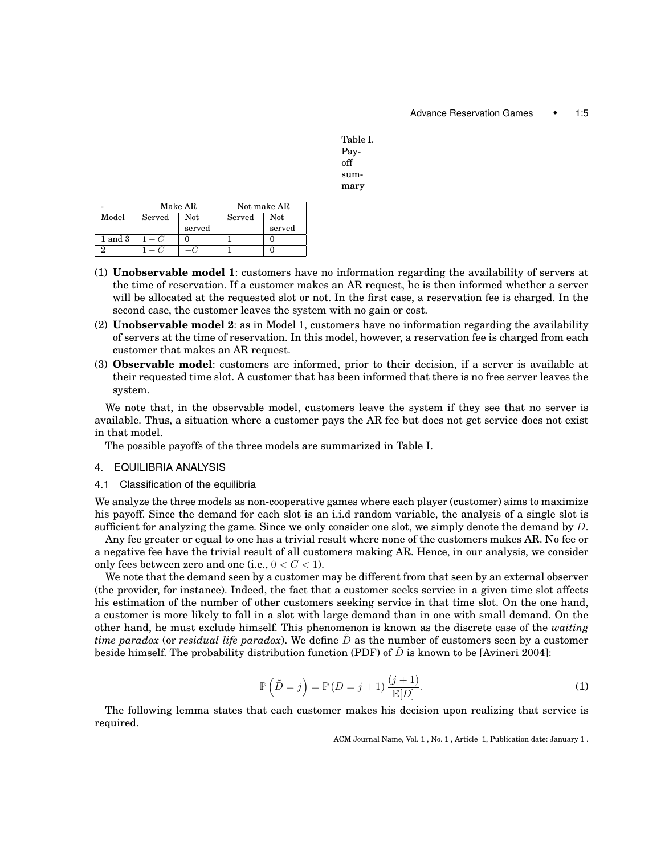

|             | Make AR |        | Not make AR |        |
|-------------|---------|--------|-------------|--------|
| Model       | Served  | Not.   | Served      | Not.   |
|             |         | served |             | served |
| $1$ and $3$ | $1-C$   |        |             |        |
|             | $1 - C$ |        |             |        |

- (1) **Unobservable model 1**: customers have no information regarding the availability of servers at the time of reservation. If a customer makes an AR request, he is then informed whether a server will be allocated at the requested slot or not. In the first case, a reservation fee is charged. In the second case, the customer leaves the system with no gain or cost.
- (2) **Unobservable model 2**: as in Model 1, customers have no information regarding the availability of servers at the time of reservation. In this model, however, a reservation fee is charged from each customer that makes an AR request.
- (3) **Observable model**: customers are informed, prior to their decision, if a server is available at their requested time slot. A customer that has been informed that there is no free server leaves the system.

We note that, in the observable model, customers leave the system if they see that no server is available. Thus, a situation where a customer pays the AR fee but does not get service does not exist in that model.

The possible payoffs of the three models are summarized in Table I.

## 4. EQUILIBRIA ANALYSIS

## 4.1 Classification of the equilibria

We analyze the three models as non-cooperative games where each player (customer) aims to maximize his payoff. Since the demand for each slot is an i.i.d random variable, the analysis of a single slot is sufficient for analyzing the game. Since we only consider one slot, we simply denote the demand by D.

Any fee greater or equal to one has a trivial result where none of the customers makes AR. No fee or a negative fee have the trivial result of all customers making AR. Hence, in our analysis, we consider only fees between zero and one (i.e.,  $0 < C < 1$ ).

We note that the demand seen by a customer may be different from that seen by an external observer (the provider, for instance). Indeed, the fact that a customer seeks service in a given time slot affects his estimation of the number of other customers seeking service in that time slot. On the one hand, a customer is more likely to fall in a slot with large demand than in one with small demand. On the other hand, he must exclude himself. This phenomenon is known as the discrete case of the *waiting time paradox* (or *residual life paradox*). We define  $\ddot{D}$  as the number of customers seen by a customer beside himself. The probability distribution function (PDF) of  $\ddot{D}$  is known to be [Avineri 2004]:

$$
\mathbb{P}\left(\tilde{D}=j\right) = \mathbb{P}\left(D=j+1\right) \frac{\left(j+1\right)}{\mathbb{E}[D]}.\tag{1}
$$

The following lemma states that each customer makes his decision upon realizing that service is required.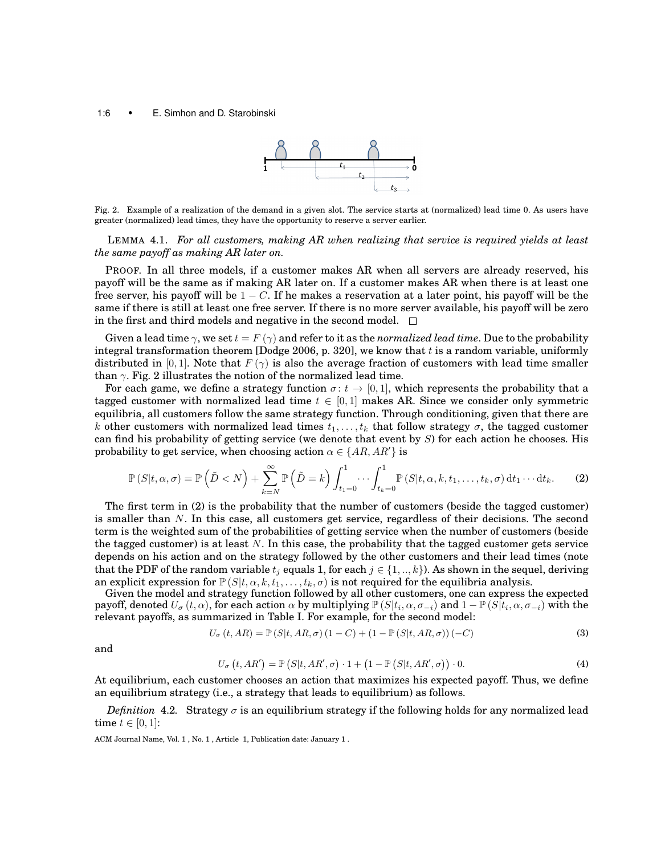#### 1:6 • E. Simhon and D. Starobinski



Fig. 2. Example of a realization of the demand in a given slot. The service starts at (normalized) lead time 0. As users have greater (normalized) lead times, they have the opportunity to reserve a server earlier.

LEMMA 4.1. *For all customers, making AR when realizing that service is required yields at least the same payoff as making AR later on.*

PROOF. In all three models, if a customer makes AR when all servers are already reserved, his payoff will be the same as if making AR later on. If a customer makes AR when there is at least one free server, his payoff will be  $1 - C$ . If he makes a reservation at a later point, his payoff will be the same if there is still at least one free server. If there is no more server available, his payoff will be zero in the first and third models and negative in the second model.  $\square$ 

Given a lead time  $\gamma$ , we set  $t = F(\gamma)$  and refer to it as the *normalized lead time*. Due to the probability integral transformation theorem [Dodge 2006, p. 320], we know that  $t$  is a random variable, uniformly distributed in [0, 1]. Note that  $F(\gamma)$  is also the average fraction of customers with lead time smaller than  $\gamma$ . Fig. 2 illustrates the notion of the normalized lead time.

For each game, we define a strategy function  $\sigma : t \to [0,1]$ , which represents the probability that a tagged customer with normalized lead time  $t \in [0,1]$  makes AR. Since we consider only symmetric equilibria, all customers follow the same strategy function. Through conditioning, given that there are k other customers with normalized lead times  $t_1, \ldots, t_k$  that follow strategy  $\sigma$ , the tagged customer can find his probability of getting service (we denote that event by S) for each action he chooses. His probability to get service, when choosing action  $\alpha \in \{AR, AR\}$  is

$$
\mathbb{P}\left(S|t,\alpha,\sigma\right) = \mathbb{P}\left(\tilde{D} (2)
$$

The first term in (2) is the probability that the number of customers (beside the tagged customer) is smaller than N. In this case, all customers get service, regardless of their decisions. The second term is the weighted sum of the probabilities of getting service when the number of customers (beside the tagged customer) is at least  $N$ . In this case, the probability that the tagged customer gets service depends on his action and on the strategy followed by the other customers and their lead times (note that the PDF of the random variable  $t_j$  equals 1, for each  $j \in \{1,..,k\}$ . As shown in the sequel, deriving an explicit expression for  $\mathbb{P}(S|t, \alpha, k, t_1, \ldots, t_k, \sigma)$  is not required for the equilibria analysis.

Given the model and strategy function followed by all other customers, one can express the expected payoff, denoted  $U_{\sigma}(t,\alpha)$ , for each action  $\alpha$  by multiplying  $\mathbb{P}\left(S|t_i,\alpha,\sigma_{-i}\right)$  and  $1-\mathbb{P}\left(S|t_i,\alpha,\sigma_{-i}\right)$  with the relevant payoffs, as summarized in Table I. For example, for the second model:

$$
U_{\sigma}(t, AR) = \mathbb{P}\left(S|t, AR, \sigma\right)\left(1 - C\right) + \left(1 - \mathbb{P}\left(S|t, AR, \sigma\right)\right)\left(-C\right)
$$
\n(3)

and

$$
U_{\sigma}\left(t,AR'\right)=\mathbb{P}\left(S|t,AR',\sigma\right)\cdot 1+\left(1-\mathbb{P}\left(S|t,AR',\sigma\right)\right)\cdot 0.\tag{4}
$$

At equilibrium, each customer chooses an action that maximizes his expected payoff. Thus, we define an equilibrium strategy (i.e., a strategy that leads to equilibrium) as follows.

*Definition* 4.2. Strategy  $\sigma$  is an equilibrium strategy if the following holds for any normalized lead time  $t \in [0, 1]$ :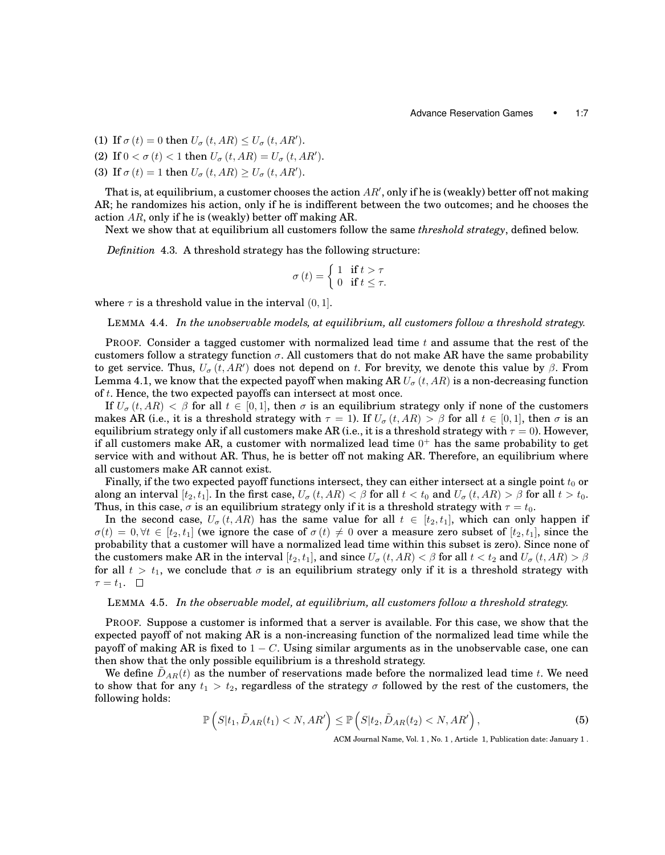- (1) If  $\sigma(t) = 0$  then  $U_{\sigma}(t, AR) \le U_{\sigma}(t, AR)$ .
- (2) If  $0 < \sigma(t) < 1$  then  $U_{\sigma}(t, AR) = U_{\sigma}(t, AR')$ .
- (3) If  $\sigma(t) = 1$  then  $U_{\sigma}(t, AR) \ge U_{\sigma}(t, AR').$

That is, at equilibrium, a customer chooses the action  $AR'$ , only if he is (weakly) better off not making AR; he randomizes his action, only if he is indifferent between the two outcomes; and he chooses the action AR, only if he is (weakly) better off making AR.

Next we show that at equilibrium all customers follow the same *threshold strategy*, defined below.

*Definition* 4.3*.* A threshold strategy has the following structure:

$$
\sigma(t) = \begin{cases} 1 & \text{if } t > \tau \\ 0 & \text{if } t \leq \tau. \end{cases}
$$

where  $\tau$  is a threshold value in the interval  $(0, 1]$ .

LEMMA 4.4. *In the unobservable models, at equilibrium, all customers follow a threshold strategy.*

PROOF. Consider a tagged customer with normalized lead time  $t$  and assume that the rest of the customers follow a strategy function  $\sigma$ . All customers that do not make AR have the same probability to get service. Thus,  $U_{\sigma}(t, AR')$  does not depend on t. For brevity, we denote this value by  $\beta$ . From Lemma 4.1, we know that the expected payoff when making AR  $U_{\sigma} (t, AR)$  is a non-decreasing function of t. Hence, the two expected payoffs can intersect at most once.

If  $U_{\sigma}(t, AR) < \beta$  for all  $t \in [0, 1]$ , then  $\sigma$  is an equilibrium strategy only if none of the customers makes AR (i.e., it is a threshold strategy with  $\tau = 1$ ). If  $U_{\sigma}(t, AR) > \beta$  for all  $t \in [0, 1]$ , then  $\sigma$  is an equilibrium strategy only if all customers make AR (i.e., it is a threshold strategy with  $\tau = 0$ ). However, if all customers make AR, a customer with normalized lead time  $0^+$  has the same probability to get service with and without AR. Thus, he is better off not making AR. Therefore, an equilibrium where all customers make AR cannot exist.

Finally, if the two expected payoff functions intersect, they can either intersect at a single point  $t_0$  or along an interval  $[t_2, t_1]$ . In the first case,  $U_{\sigma}(t, AR) < \beta$  for all  $t < t_0$  and  $U_{\sigma}(t, AR) > \beta$  for all  $t > t_0$ . Thus, in this case,  $\sigma$  is an equilibrium strategy only if it is a threshold strategy with  $\tau = t_0$ .

In the second case,  $U_{\sigma}(t, AR)$  has the same value for all  $t \in [t_2, t_1]$ , which can only happen if  $\sigma(t) = 0, \forall t \in [t_2, t_1]$  (we ignore the case of  $\sigma(t) \neq 0$  over a measure zero subset of  $[t_2, t_1]$ , since the probability that a customer will have a normalized lead time within this subset is zero). Since none of the customers make AR in the interval  $[t_2, t_1]$ , and since  $U_{\sigma}(t, AR) < \beta$  for all  $t < t_2$  and  $U_{\sigma}(t, AR) > \beta$ for all  $t > t_1$ , we conclude that  $\sigma$  is an equilibrium strategy only if it is a threshold strategy with  $\tau = t_1$ .  $\Box$ 

### LEMMA 4.5. *In the observable model, at equilibrium, all customers follow a threshold strategy.*

PROOF. Suppose a customer is informed that a server is available. For this case, we show that the expected payoff of not making AR is a non-increasing function of the normalized lead time while the payoff of making AR is fixed to  $1 - C$ . Using similar arguments as in the unobservable case, one can then show that the only possible equilibrium is a threshold strategy.

We define  $D_{AR}(t)$  as the number of reservations made before the normalized lead time t. We need to show that for any  $t_1 > t_2$ , regardless of the strategy  $\sigma$  followed by the rest of the customers, the following holds:

$$
\mathbb{P}\left(S|t_1,\tilde{D}_{AR}(t_1)
$$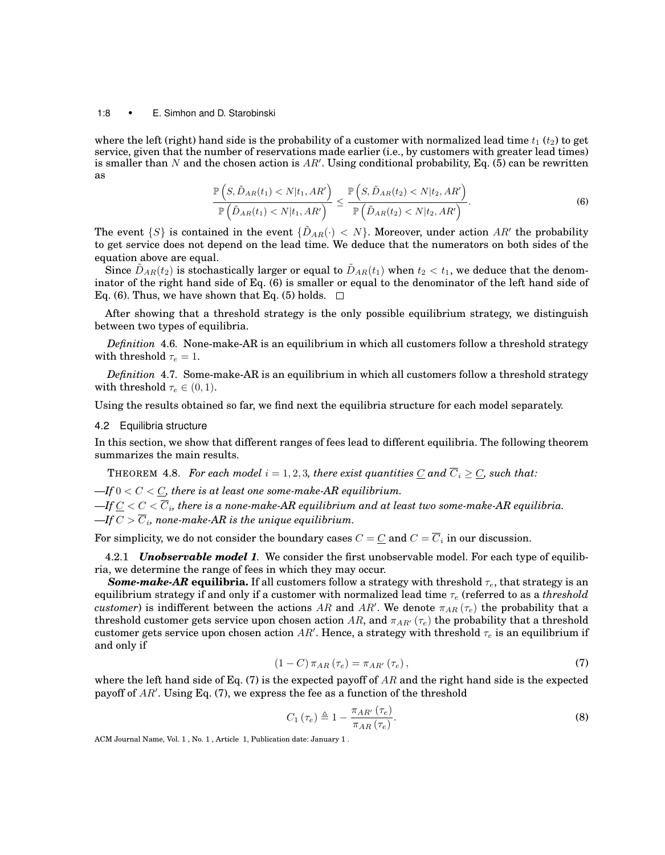## 1:8 • E. Simhon and D. Starobinski

where the left (right) hand side is the probability of a customer with normalized lead time  $t_1$  ( $t_2$ ) to get service, given that the number of reservations made earlier (i.e., by customers with greater lead times) is smaller than N and the chosen action is  $AR'$ . Using conditional probability, Eq. (5) can be rewritten as

$$
\frac{\mathbb{P}\left(S,\tilde{D}_{AR}(t_1)\n(6)
$$

The event  $\{S\}$  is contained in the event  $\{\tilde{D}_{AR}(\cdot) < N\}$ . Moreover, under action  $AR'$  the probability to get service does not depend on the lead time. We deduce that the numerators on both sides of the equation above are equal.

Since  $\tilde{D}_{AR}(t_2)$  is stochastically larger or equal to  $\tilde{D}_{AR}(t_1)$  when  $t_2 < t_1$ , we deduce that the denominator of the right hand side of Eq. (6) is smaller or equal to the denominator of the left hand side of Eq. (6). Thus, we have shown that Eq. (5) holds.  $\square$ 

After showing that a threshold strategy is the only possible equilibrium strategy, we distinguish between two types of equilibria.

*Definition* 4.6*.* None-make-AR is an equilibrium in which all customers follow a threshold strategy with threshold  $\tau_e = 1$ .

*Definition* 4.7*.* Some-make-AR is an equilibrium in which all customers follow a threshold strategy with threshold  $\tau_e \in (0,1)$ .

Using the results obtained so far, we find next the equilibria structure for each model separately.

## 4.2 Equilibria structure

In this section, we show that different ranges of fees lead to different equilibria. The following theorem summarizes the main results.

**THEOREM** 4.8. *For each model*  $i = 1, 2, 3$ *, there exist quantities* C and  $\overline{C}_i \ge C$ *, such that:* 

 $-If$   $0 < C < C$ , there is at least one some-make-AR equilibrium.

 $-$ If  $\underline{C} < C < \overline{C}_i$ , there is a none-make-AR equilibrium and at least two some-make-AR equilibria.  $-$ If  $C > \overline{C}_i$ , none-make-AR is the unique equilibrium.

For simplicity, we do not consider the boundary cases  $C = C$  and  $C = \overline{C}_i$  in our discussion.

4.2.1 *Unobservable model 1.* We consider the first unobservable model. For each type of equilibria, we determine the range of fees in which they may occur.

**Some-make-AR equilibria.** If all customers follow a strategy with threshold  $\tau_e$ , that strategy is an equilibrium strategy if and only if a customer with normalized lead time τ<sub>e</sub> (referred to as a *threshold customer*) is indifferent between the actions AR and AR'. We denote  $\pi_{AR}(\tau_e)$  the probability that a threshold customer gets service upon chosen action AR, and  $\pi_{AR'}(\tau_e)$  the probability that a threshold customer gets service upon chosen action  $AR'$ . Hence, a strategy with threshold  $\tau_e$  is an equilibrium if and only if

$$
(1 - C)\pi_{AR}(\tau_e) = \pi_{AR'}(\tau_e),\tag{7}
$$

where the left hand side of Eq. (7) is the expected payoff of AR and the right hand side is the expected payoff of  $AR'$ . Using Eq. (7), we express the fee as a function of the threshold

$$
C_1 \left( \tau_e \right) \triangleq 1 - \frac{\pi_{AR'} \left( \tau_e \right)}{\pi_{AR} \left( \tau_e \right)}.
$$
\n
$$
(8)
$$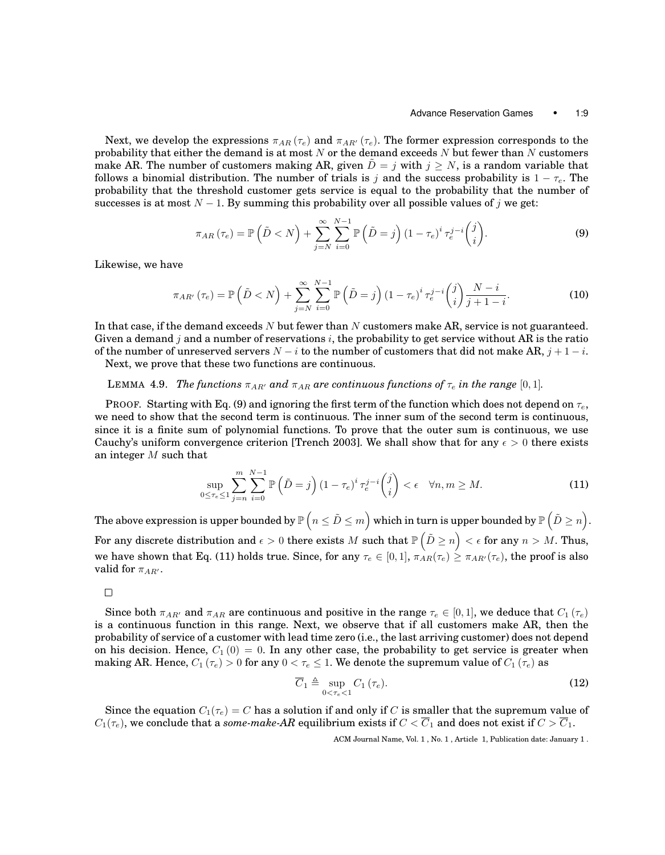Next, we develop the expressions  $\pi_{AR}(\tau_e)$  and  $\pi_{AR'}(\tau_e)$ . The former expression corresponds to the probability that either the demand is at most  $N$  or the demand exceeds  $N$  but fewer than  $N$  customers make AR. The number of customers making AR, given  $\overline{D} = j$  with  $j \geq N$ , is a random variable that follows a binomial distribution. The number of trials is j and the success probability is  $1 - \tau_e$ . The probability that the threshold customer gets service is equal to the probability that the number of successes is at most  $N-1$ . By summing this probability over all possible values of j we get:

$$
\pi_{AR}(\tau_e) = \mathbb{P}\left(\tilde{D} < N\right) + \sum_{j=N}^{\infty} \sum_{i=0}^{N-1} \mathbb{P}\left(\tilde{D} = j\right) \left(1 - \tau_e\right)^i \tau_e^{j-i} \binom{j}{i}.\tag{9}
$$

Likewise, we have

$$
\pi_{AR'}\left(\tau_e\right) = \mathbb{P}\left(\tilde{D} < N\right) + \sum_{j=N}^{\infty} \sum_{i=0}^{N-1} \mathbb{P}\left(\tilde{D} = j\right) \left(1 - \tau_e\right)^i \tau_e^{j-i} \binom{j}{i} \frac{N-i}{j+1-i}.\tag{10}
$$

In that case, if the demand exceeds  $N$  but fewer than  $N$  customers make AR, service is not guaranteed. Given a demand j and a number of reservations i, the probability to get service without AR is the ratio of the number of unreserved servers  $N - i$  to the number of customers that did not make AR,  $j + 1 - i$ .

Next, we prove that these two functions are continuous.

## **LEMMA 4.9.** *The functions*  $\pi_{AR'}$  *and*  $\pi_{AR}$  *are continuous functions of*  $\tau_e$  *in the range* [0, 1]*.*

PROOF. Starting with Eq. (9) and ignoring the first term of the function which does not depend on  $\tau_c$ . we need to show that the second term is continuous. The inner sum of the second term is continuous, since it is a finite sum of polynomial functions. To prove that the outer sum is continuous, we use Cauchy's uniform convergence criterion [Trench 2003]. We shall show that for any  $\epsilon > 0$  there exists an integer M such that

$$
\sup_{0 \le \tau_e \le 1} \sum_{j=n}^{m} \sum_{i=0}^{N-1} \mathbb{P}\left(\tilde{D} = j\right) \left(1 - \tau_e\right)^i \tau_e^{j-i} \binom{j}{i} < \epsilon \quad \forall n, m \ge M. \tag{11}
$$

The above expression is upper bounded by  $\mathbb{P}\left(n\leq \tilde{D}\leq m\right)$  which in turn is upper bounded by  $\mathbb{P}\left(\tilde{D}\geq n\right)$ . For any discrete distribution and  $\epsilon > 0$  there exists M such that  $\mathbb{P}\left(\tilde{D}\geq n\right)<\epsilon$  for any  $n>M.$  Thus, we have shown that Eq. (11) holds true. Since, for any  $\tau_e \in [0,1]$ ,  $\pi_{AR}(\tau_e) \leq \pi_{AR'}(\tau_e)$ , the proof is also valid for  $\pi_{AR'}$ .

 $\Box$ 

Since both  $\pi_{AR'}$  and  $\pi_{AR}$  are continuous and positive in the range  $\tau_e \in [0,1]$ , we deduce that  $C_1(\tau_e)$ is a continuous function in this range. Next, we observe that if all customers make AR, then the probability of service of a customer with lead time zero (i.e., the last arriving customer) does not depend on his decision. Hence,  $C_1(0) = 0$ . In any other case, the probability to get service is greater when making AR. Hence,  $C_1(\tau_e) > 0$  for any  $0 < \tau_e \leq 1$ . We denote the supremum value of  $C_1(\tau_e)$  as

$$
\overline{C}_1 \triangleq \sup_{0 < \tau_e < 1} C_1 \left( \tau_e \right). \tag{12}
$$

Since the equation  $C_1(\tau_e) = C$  has a solution if and only if C is smaller that the supremum value of  $C_1(\tau_e)$ , we conclude that a *some-make-AR* equilibrium exists if  $C < \overline{C}_1$  and does not exist if  $C > \overline{C}_1$ .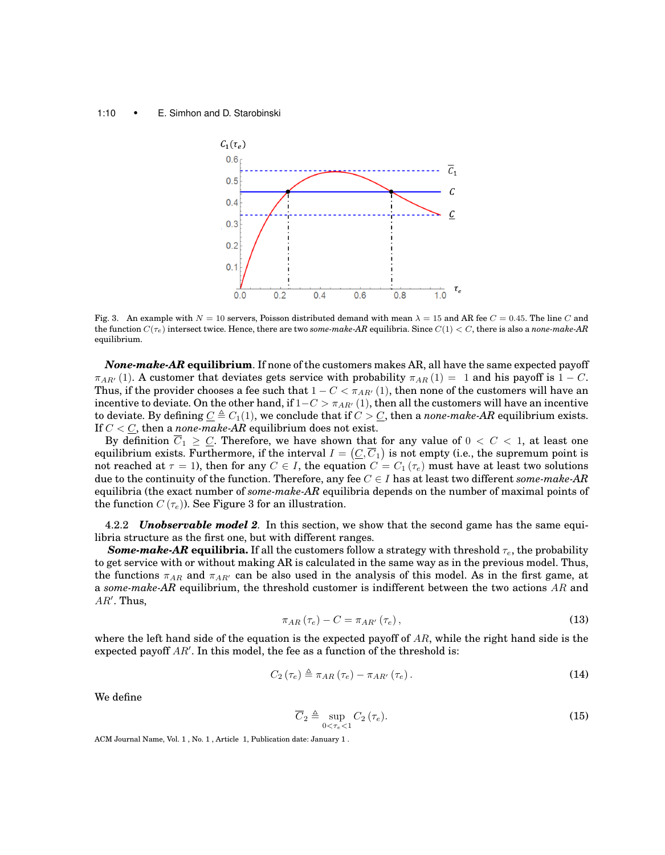#### 1:10 • E. Simhon and D. Starobinski



Fig. 3. An example with  $N = 10$  servers, Poisson distributed demand with mean  $\lambda = 15$  and AR fee  $C = 0.45$ . The line C and the function  $C(\tau_e)$  intersect twice. Hence, there are two *some-make-AR* equilibria. Since  $C(1) < C$ , there is also a *none-make-AR* equilibrium.

*None-make-AR* **equilibrium**. If none of the customers makes AR, all have the same expected payoff  $\pi_{AR'}(1)$ . A customer that deviates gets service with probability  $\pi_{AR}(1) = 1$  and his payoff is  $1 - C$ . Thus, if the provider chooses a fee such that  $1 - C < \pi_{AR'}(1)$ , then none of the customers will have an incentive to deviate. On the other hand, if  $1-C > \pi_{AR'}(1)$ , then all the customers will have an incentive to deviate. By defining  $\underline{C} \triangleq C_1(1)$ , we conclude that if  $C > C$ , then a *none-make-AR* equilibrium exists. If  $C < C$ , then a *none-make-AR* equilibrium does not exist.

By definition  $\overline{C}_1 \geq \underline{C}$ . Therefore, we have shown that for any value of  $0 < C < 1$ , at least one equilibrium exists. Furthermore, if the interval  $I=(\underline{C},\overline{C}_1)$  is not empty (i.e., the supremum point is not reached at  $\tau = 1$ ), then for any  $C \in I$ , the equation  $C = C_1(\tau_e)$  must have at least two solutions due to the continuity of the function. Therefore, any fee  $C \in I$  has at least two different *some-make-AR* equilibria (the exact number of *some-make-AR* equilibria depends on the number of maximal points of the function  $C(\tau_e)$ ). See Figure 3 for an illustration.

4.2.2 *Unobservable model 2.* In this section, we show that the second game has the same equilibria structure as the first one, but with different ranges.

**Some-make-AR equilibria.** If all the customers follow a strategy with threshold  $\tau_e$ , the probability to get service with or without making AR is calculated in the same way as in the previous model. Thus, the functions  $\pi_{AR}$  and  $\pi_{AR'}$  can be also used in the analysis of this model. As in the first game, at a *some-make-AR* equilibrium, the threshold customer is indifferent between the two actions AR and  $AR'$ . Thus,

$$
\pi_{AR}(\tau_e) - C = \pi_{AR'}(\tau_e), \qquad (13)
$$

where the left hand side of the equation is the expected payoff of  $AR$ , while the right hand side is the expected payoff  $AR'$ . In this model, the fee as a function of the threshold is:

$$
C_2 \left( \tau_e \right) \triangleq \pi_{AR} \left( \tau_e \right) - \pi_{AR'} \left( \tau_e \right). \tag{14}
$$

We define

$$
\overline{C}_2 \triangleq \sup_{0 < \tau_e < 1} C_2(\tau_e). \tag{15}
$$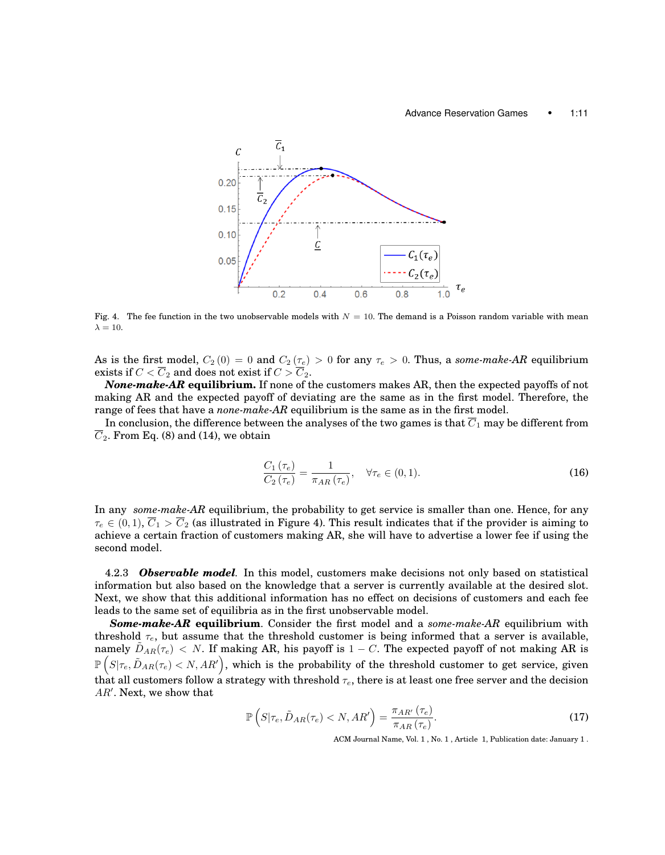

Fig. 4. The fee function in the two unobservable models with  $N = 10$ . The demand is a Poisson random variable with mean  $\lambda = 10$ .

As is the first model,  $C_2(0) = 0$  and  $C_2(\tau_e) > 0$  for any  $\tau_e > 0$ . Thus, a *some-make-AR* equilibrium exists if  $C < \overline{C}_2$  and does not exist if  $C > \overline{C}_2$ .

*None-make-AR* **equilibrium.** If none of the customers makes AR, then the expected payoffs of not making AR and the expected payoff of deviating are the same as in the first model. Therefore, the range of fees that have a *none-make-AR* equilibrium is the same as in the first model.

In conclusion, the difference between the analyses of the two games is that  $\overline{C_1}$  may be different from  $C_2$ . From Eq. (8) and (14), we obtain

$$
\frac{C_1\left(\tau_e\right)}{C_2\left(\tau_e\right)} = \frac{1}{\pi_{AR}\left(\tau_e\right)}, \quad \forall \tau_e \in (0, 1). \tag{16}
$$

In any *some-make-AR* equilibrium, the probability to get service is smaller than one. Hence, for any  $\tau_e \in (0,1), \overline{C}_1 > \overline{C}_2$  (as illustrated in Figure 4). This result indicates that if the provider is aiming to achieve a certain fraction of customers making AR, she will have to advertise a lower fee if using the second model.

4.2.3 *Observable model.* In this model, customers make decisions not only based on statistical information but also based on the knowledge that a server is currently available at the desired slot. Next, we show that this additional information has no effect on decisions of customers and each fee leads to the same set of equilibria as in the first unobservable model.

*Some-make-AR* **equilibrium**. Consider the first model and a *some-make-AR* equilibrium with threshold  $\tau_e$ , but assume that the threshold customer is being informed that a server is available, namely  $\tilde{D}_{AR}(\tau_e) < N$ . If making AR, his payoff is  $1 - C$ . The expected payoff of not making AR is  $\mathbb{P}\left(S|\tau_{e}, \tilde{D}_{AR}(\tau_{e}) < N, AR'\right),$  which is the probability of the threshold customer to get service, given that all customers follow a strategy with threshold  $\tau_e$ , there is at least one free server and the decision  $AR'$ . Next, we show that

$$
\mathbb{P}\left(S|\tau_e, \tilde{D}_{AR}(\tau_e) < N, AR'\right) = \frac{\pi_{AR'}\left(\tau_e\right)}{\pi_{AR}\left(\tau_e\right)}.\tag{17}
$$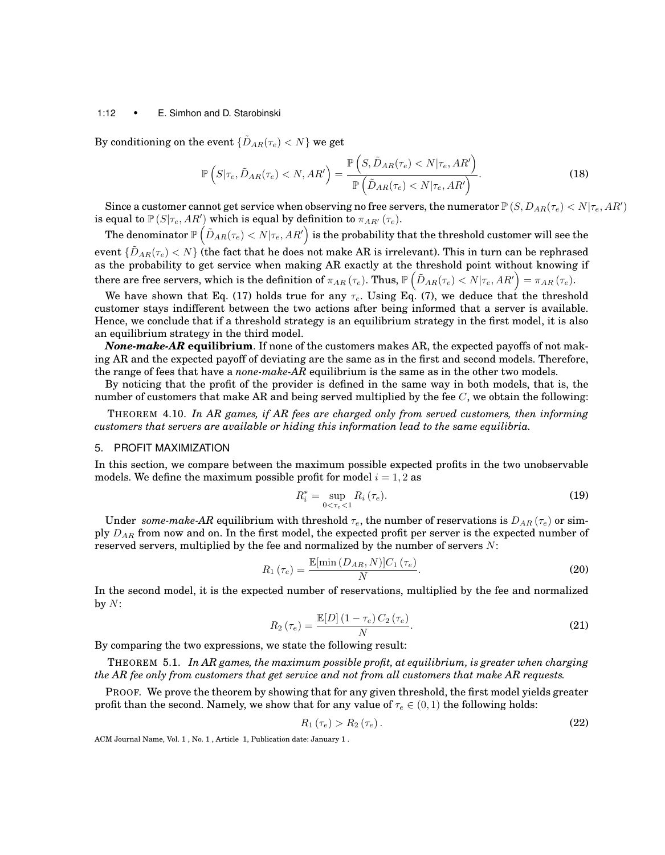## 1:12 • E. Simhon and D. Starobinski

By conditioning on the event  $\{\tilde{D}_{AR}(\tau_e) < N\}$  we get

$$
\mathbb{P}\left(S|\tau_e, \tilde{D}_{AR}(\tau_e) < N, AR'\right) = \frac{\mathbb{P}\left(S, \tilde{D}_{AR}(\tau_e) < N|\tau_e, AR'\right)}{\mathbb{P}\left(\tilde{D}_{AR}(\tau_e) < N|\tau_e, AR'\right)}.\tag{18}
$$

Since a customer cannot get service when observing no free servers, the numerator  $\mathbb{P}\left(S,D_{AR}(\tau_{e}) < N|\tau_{e},AR'\right)$ is equal to  $\mathbb{P}(S|\tau_e, AR')$  which is equal by definition to  $\pi_{AR'}(\tau_e)$ .

The denominator  $\mathbb{P}\left(\tilde{D}_{AR}(\tau_e)< N|\tau_e,AR'\right)$  is the probability that the threshold customer will see the event  $\{\tilde{D}_{AR}(\tau_e) < N\}$  (the fact that he does not make AR is irrelevant). This in turn can be rephrased as the probability to get service when making AR exactly at the threshold point without knowing if  $\text{there are free servers, which is the definition of } \pi_{AR}\left( \tau_{e}\right) . \text{ Thus, } \mathbb{P}\left( \tilde{D}_{AR}(\tau_{e}) < N|\tau_{e},AR'\right) = \pi_{AR}\left( \tau_{e}\right) .$ 

We have shown that Eq. (17) holds true for any  $\tau_e$ . Using Eq. (7), we deduce that the threshold customer stays indifferent between the two actions after being informed that a server is available. Hence, we conclude that if a threshold strategy is an equilibrium strategy in the first model, it is also an equilibrium strategy in the third model.

*None-make-AR* **equilibrium**. If none of the customers makes AR, the expected payoffs of not making AR and the expected payoff of deviating are the same as in the first and second models. Therefore, the range of fees that have a *none-make-AR* equilibrium is the same as in the other two models.

By noticing that the profit of the provider is defined in the same way in both models, that is, the number of customers that make AR and being served multiplied by the fee  $C$ , we obtain the following:

THEOREM 4.10. *In AR games, if AR fees are charged only from served customers, then informing customers that servers are available or hiding this information lead to the same equilibria.*

## 5. PROFIT MAXIMIZATION

In this section, we compare between the maximum possible expected profits in the two unobservable models. We define the maximum possible profit for model  $i = 1, 2$  as

$$
R_i^* = \sup_{0 < \tau_e < 1} R_i \left( \tau_e \right). \tag{19}
$$

Under *some-make-AR* equilibrium with threshold  $\tau_e$ , the number of reservations is  $D_{AR}(\tau_e)$  or simply  $D_{AR}$  from now and on. In the first model, the expected profit per server is the expected number of reserved servers, multiplied by the fee and normalized by the number of servers N:

$$
R_1\left(\tau_e\right) = \frac{\mathbb{E}[\min\left(D_{AR}, N\right)]C_1\left(\tau_e\right)}{N}.\tag{20}
$$

In the second model, it is the expected number of reservations, multiplied by the fee and normalized by  $N$ :

$$
R_2\left(\tau_e\right) = \frac{\mathbb{E}[D]\left(1 - \tau_e\right)C_2\left(\tau_e\right)}{N}.\tag{21}
$$

By comparing the two expressions, we state the following result:

THEOREM 5.1. *In AR games, the maximum possible profit, at equilibrium, is greater when charging the AR fee only from customers that get service and not from all customers that make AR requests.*

PROOF. We prove the theorem by showing that for any given threshold, the first model yields greater profit than the second. Namely, we show that for any value of  $\tau_e \in (0,1)$  the following holds:

$$
R_1(\tau_e) > R_2(\tau_e). \tag{22}
$$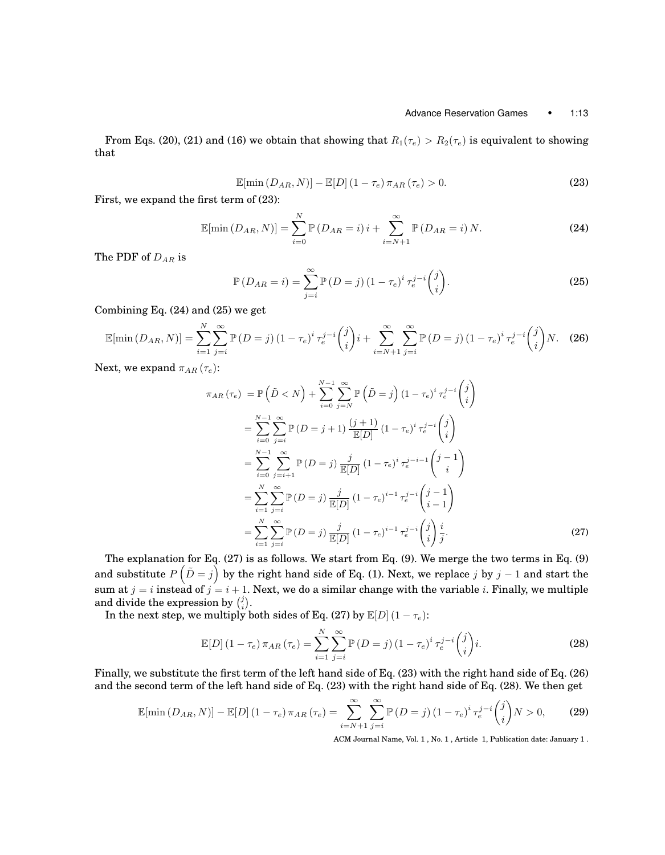From Eqs. (20), (21) and (16) we obtain that showing that  $R_1(\tau_e) > R_2(\tau_e)$  is equivalent to showing that

$$
\mathbb{E}[\min(D_{AR}, N)] - \mathbb{E}[D] (1 - \tau_e) \pi_{AR} (\tau_e) > 0.
$$
 (23)

First, we expand the first term of (23):

$$
\mathbb{E}[\min(D_{AR}, N)] = \sum_{i=0}^{N} \mathbb{P}(D_{AR} = i) i + \sum_{i=N+1}^{\infty} \mathbb{P}(D_{AR} = i) N.
$$
 (24)

The PDF of  $D_{AR}$  is

$$
\mathbb{P}\left(D_{AR} = i\right) = \sum_{j=i}^{\infty} \mathbb{P}\left(D = j\right) \left(1 - \tau_e\right)^i \tau_e^{j-i} \binom{j}{i}.\tag{25}
$$

Combining Eq. (24) and (25) we get

$$
\mathbb{E}[\min(D_{AR}, N)] = \sum_{i=1}^{N} \sum_{j=i}^{\infty} \mathbb{P}(D = j) (1 - \tau_e)^i \tau_e^{j-i} {j \choose i} i + \sum_{i=N+1}^{\infty} \sum_{j=i}^{\infty} \mathbb{P}(D = j) (1 - \tau_e)^i \tau_e^{j-i} {j \choose i} N. \tag{26}
$$

Next, we expand  $\pi_{AR}(\tau_e)$ :

$$
\pi_{AR}(\tau_e) = \mathbb{P}\left(\tilde{D} < N\right) + \sum_{i=0}^{N-1} \sum_{j=N}^{\infty} \mathbb{P}\left(\tilde{D} = j\right) (1 - \tau_e)^i \tau_e^{j-i} \binom{j}{i}
$$
\n
$$
= \sum_{i=0}^{N-1} \sum_{j=i}^{\infty} \mathbb{P}\left(D = j+1\right) \frac{(j+1)}{\mathbb{E}[D]} (1 - \tau_e)^i \tau_e^{j-i} \binom{j}{i}
$$
\n
$$
= \sum_{i=0}^{N-1} \sum_{j=i+1}^{\infty} \mathbb{P}\left(D = j\right) \frac{j}{\mathbb{E}[D]} (1 - \tau_e)^i \tau_e^{j-i-1} \binom{j-1}{i}
$$
\n
$$
= \sum_{i=1}^{N} \sum_{j=i}^{\infty} \mathbb{P}\left(D = j\right) \frac{j}{\mathbb{E}[D]} (1 - \tau_e)^{i-1} \tau_e^{j-i} \binom{j-1}{i-1}
$$
\n
$$
= \sum_{i=1}^{N} \sum_{j=i}^{\infty} \mathbb{P}\left(D = j\right) \frac{j}{\mathbb{E}[D]} (1 - \tau_e)^{i-1} \tau_e^{j-i} \binom{j}{i} \frac{i}{j}.
$$
\n(27)

The explanation for Eq. (27) is as follows. We start from Eq. (9). We merge the two terms in Eq. (9) and substitute  $P\left( \tilde{D}=j\right)$  by the right hand side of Eq. (1). Next, we replace  $j$  by  $j-1$  and start the sum at  $j = i$  instead of  $j = i + 1$ . Next, we do a similar change with the variable i. Finally, we multiple and divide the expression by  $\binom{j}{i}$ .

In the next step, we multiply both sides of Eq. (27) by  $\mathbb{E}[D]$  (1 –  $\tau_e$ ):

$$
\mathbb{E}[D](1-\tau_e)\,\pi_{AR}\,(\tau_e) = \sum_{i=1}^N \sum_{j=i}^\infty \mathbb{P}\,(D=j)\,(1-\tau_e)^i\,\tau_e^{j-i}\binom{j}{i}i. \tag{28}
$$

Finally, we substitute the first term of the left hand side of Eq. (23) with the right hand side of Eq. (26) and the second term of the left hand side of Eq. (23) with the right hand side of Eq. (28). We then get

$$
\mathbb{E}[\min(D_{AR}, N)] - \mathbb{E}[D](1 - \tau_e) \pi_{AR}(\tau_e) = \sum_{i=N+1}^{\infty} \sum_{j=i}^{\infty} \mathbb{P}(D = j) (1 - \tau_e)^i \tau_e^{j-i} \binom{j}{i} N > 0,
$$
 (29)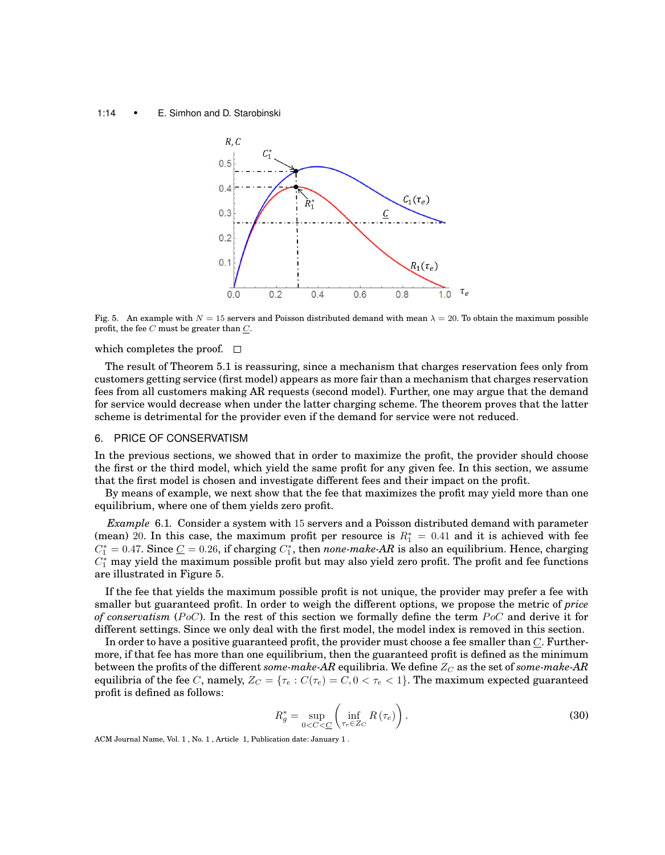#### 1:14 • E. Simhon and D. Starobinski



Fig. 5. An example with  $N = 15$  servers and Poisson distributed demand with mean  $\lambda = 20$ . To obtain the maximum possible profit, the fee  $C$  must be greater than  $C$ .

## which completes the proof.  $\square$

The result of Theorem 5.1 is reassuring, since a mechanism that charges reservation fees only from customers getting service (first model) appears as more fair than a mechanism that charges reservation fees from all customers making AR requests (second model). Further, one may argue that the demand for service would decrease when under the latter charging scheme. The theorem proves that the latter scheme is detrimental for the provider even if the demand for service were not reduced.

## 6. PRICE OF CONSERVATISM

In the previous sections, we showed that in order to maximize the profit, the provider should choose the first or the third model, which yield the same profit for any given fee. In this section, we assume that the first model is chosen and investigate different fees and their impact on the profit.

By means of example, we next show that the fee that maximizes the profit may yield more than one equilibrium, where one of them yields zero profit.

*Example* 6.1*.* Consider a system with 15 servers and a Poisson distributed demand with parameter (mean) 20. In this case, the maximum profit per resource is  $R_1^* = 0.41$  and it is achieved with fee  $C_1^* = 0.47$ . Since  $\underline{C} = 0.26$ , if charging  $C_1^*$ , then *none-make-AR* is also an equilibrium. Hence, charging  $C_{1}^{*}$  may yield the maximum possible profit but may also yield zero profit. The profit and fee functions are illustrated in Figure 5.

If the fee that yields the maximum possible profit is not unique, the provider may prefer a fee with smaller but guaranteed profit. In order to weigh the different options, we propose the metric of *price of conservatism* (PoC). In the rest of this section we formally define the term  $PoC$  and derive it for different settings. Since we only deal with the first model, the model index is removed in this section.

In order to have a positive guaranteed profit, the provider must choose a fee smaller than  $C$ . Furthermore, if that fee has more than one equilibrium, then the guaranteed profit is defined as the minimum between the profits of the different *some-make-AR* equilibria. We define  $Z_C$  as the set of *some-make-AR* equilibria of the fee C, namely,  $Z_C = \{ \tau_e : C(\tau_e) = C, 0 < \tau_e < 1 \}$ . The maximum expected guaranteed profit is defined as follows:

$$
R_g^* = \sup_{0 < C < \underline{C}} \left( \inf_{\tau_e \in Z_C} R(\tau_e) \right). \tag{30}
$$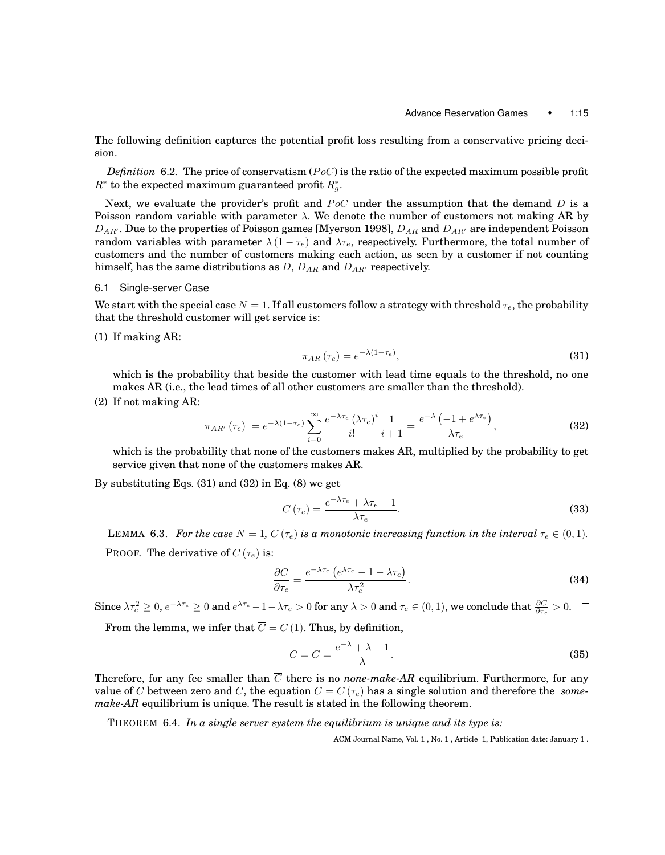The following definition captures the potential profit loss resulting from a conservative pricing decision.

*Definition* 6.2. The price of conservatism ( $PoC$ ) is the ratio of the expected maximum possible profit  $R^*$  to the expected maximum guaranteed profit  $R_g^*$ .

Next, we evaluate the provider's profit and  $PoC$  under the assumption that the demand  $D$  is a Poisson random variable with parameter  $\lambda$ . We denote the number of customers not making AR by  $D_{AR'}$ . Due to the properties of Poisson games [Myerson 1998],  $D_{AR}$  and  $D_{AR'}$  are independent Poisson random variables with parameter  $\lambda (1 - \tau_e)$  and  $\lambda \tau_e$ , respectively. Furthermore, the total number of customers and the number of customers making each action, as seen by a customer if not counting himself, has the same distributions as  $D$ ,  $D_{AR}$  and  $D_{AR'}$  respectively.

## 6.1 Single-server Case

We start with the special case  $N = 1$ . If all customers follow a strategy with threshold  $\tau_e$ , the probability that the threshold customer will get service is:

(1) If making AR:

$$
\pi_{AR}\left(\tau_e\right) = e^{-\lambda(1-\tau_e)},\tag{31}
$$

which is the probability that beside the customer with lead time equals to the threshold, no one makes AR (i.e., the lead times of all other customers are smaller than the threshold).

(2) If not making AR:

$$
\pi_{AR'}\left(\tau_e\right) = e^{-\lambda(1-\tau_e)} \sum_{i=0}^{\infty} \frac{e^{-\lambda \tau_e} \left(\lambda \tau_e\right)^i}{i!} \frac{1}{i+1} = \frac{e^{-\lambda} \left(-1 + e^{\lambda \tau_e}\right)}{\lambda \tau_e},\tag{32}
$$

which is the probability that none of the customers makes AR, multiplied by the probability to get service given that none of the customers makes AR.

By substituting Eqs.  $(31)$  and  $(32)$  in Eq.  $(8)$  we get

$$
C\left(\tau_e\right) = \frac{e^{-\lambda \tau_e} + \lambda \tau_e - 1}{\lambda \tau_e}.
$$
\n(33)

**LEMMA 6.3.** *For the case*  $N = 1$ ,  $C(\tau_e)$  *is a monotonic increasing function in the interval*  $\tau_e \in (0, 1)$ *.* PROOF. The derivative of  $C(\tau_e)$  is:

$$
\frac{\partial C}{\partial \tau_e} = \frac{e^{-\lambda \tau_e} \left( e^{\lambda \tau_e} - 1 - \lambda \tau_e \right)}{\lambda \tau_e^2}.
$$
\n(34)

Since  $\lambda\tau_e^2\geq0, e^{-\lambda\tau_e}\geq0$  and  $e^{\lambda\tau_e}-1-\lambda\tau_e>0$  for any  $\lambda>0$  and  $\tau_e\in(0,1),$  we conclude that  $\frac{\partial C}{\partial\tau_e}>0.$ 

From the lemma, we infer that  $\overline{C} = C(1)$ . Thus, by definition,

$$
\overline{C} = \underline{C} = \frac{e^{-\lambda} + \lambda - 1}{\lambda}.
$$
\n(35)

Therefore, for any fee smaller than  $\overline{C}$  there is no *none-make-AR* equilibrium. Furthermore, for any value of C between zero and  $\overline{C}$ , the equation  $C = C(\tau_e)$  has a single solution and therefore the *somemake-AR* equilibrium is unique. The result is stated in the following theorem.

THEOREM 6.4. *In a single server system the equilibrium is unique and its type is:*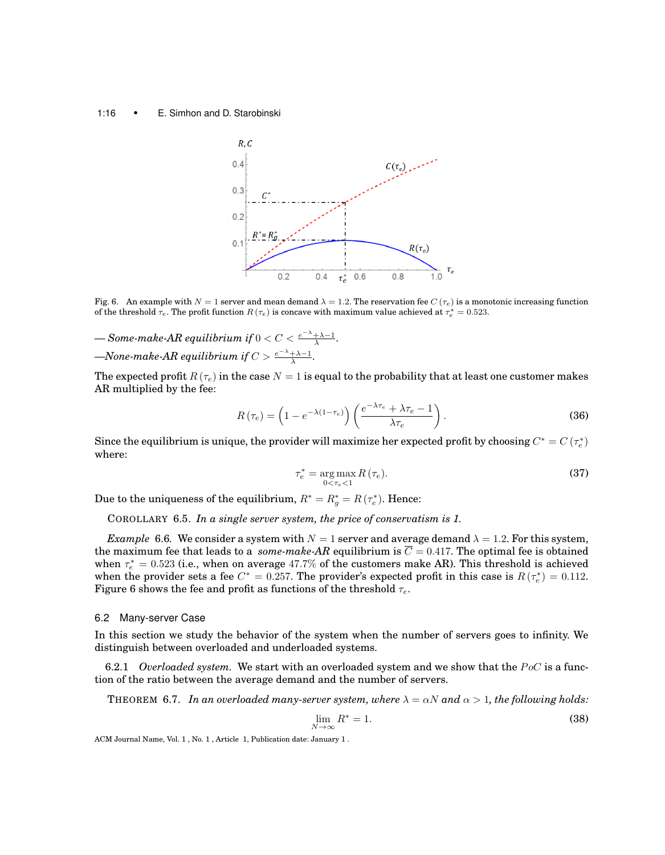#### 1:16 • E. Simhon and D. Starobinski



Fig. 6. An example with  $N = 1$  server and mean demand  $\lambda = 1.2$ . The reservation fee C ( $\tau_e$ ) is a monotonic increasing function of the threshold  $\tau_e$ . The profit function  $R(\tau_e)$  is concave with maximum value achieved at  $\tau_e^*=0.523$ .

— Some-make-AR equilibrium if  $0 < C < \frac{e^{-\lambda} + \lambda - 1}{\lambda}$ .  $-$ *None-make-AR equilibrium if*  $C > \frac{e^{-\lambda} + \lambda - 1}{\lambda}$ .

The expected profit  $R(\tau_e)$  in the case  $N = 1$  is equal to the probability that at least one customer makes AR multiplied by the fee:

$$
R\left(\tau_e\right) = \left(1 - e^{-\lambda(1-\tau_e)}\right) \left(\frac{e^{-\lambda\tau_e} + \lambda\tau_e - 1}{\lambda\tau_e}\right). \tag{36}
$$

Since the equilibrium is unique, the provider will maximize her expected profit by choosing  $C^* = C(\tau_e^*)$ where:

$$
\tau_e^* = \underset{0 < \tau_e < 1}{\arg \max} R(\tau_e). \tag{37}
$$

Due to the uniqueness of the equilibrium,  $R^* = R_g^* = R(\tau_e^*)$ . Hence:

COROLLARY 6.5. *In a single server system, the price of conservatism is 1.*

*Example* 6.6. We consider a system with  $N = 1$  server and average demand  $\lambda = 1.2$ . For this system, the maximum fee that leads to a *some-make-AR* equilibrium is  $\overline{C} = 0.417$ . The optimal fee is obtained when  $\tau_e^* = 0.523$  (i.e., when on average  $47.7\%$  of the customers make AR). This threshold is achieved when the provider sets a fee  $C^* = 0.257$ . The provider's expected profit in this case is  $R(\tau_e^*) = 0.112$ . Figure 6 shows the fee and profit as functions of the threshold  $\tau_e$ .

### 6.2 Many-server Case

In this section we study the behavior of the system when the number of servers goes to infinity. We distinguish between overloaded and underloaded systems.

6.2.1 *Overloaded system.* We start with an overloaded system and we show that the  $PoC$  is a function of the ratio between the average demand and the number of servers.

THEOREM 6.7. *In an overloaded many-server system, where*  $\lambda = \alpha N$  *and*  $\alpha > 1$ *, the following holds:* 

$$
\lim_{N \to \infty} R^* = 1. \tag{38}
$$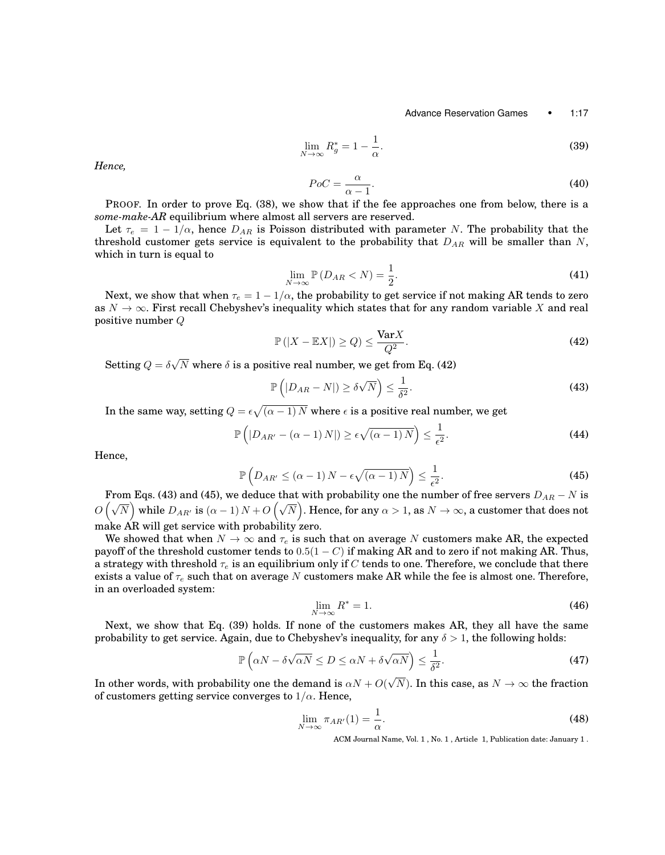## Advance Reservation Games • 1:17

$$
\lim_{N \to \infty} R_g^* = 1 - \frac{1}{\alpha}.\tag{39}
$$

*Hence,*

$$
PoC = \frac{\alpha}{\alpha - 1}.
$$
\n(40)

PROOF. In order to prove Eq. (38), we show that if the fee approaches one from below, there is a *some-make-AR* equilibrium where almost all servers are reserved.

Let  $\tau_e = 1 - 1/\alpha$ , hence  $D_{AR}$  is Poisson distributed with parameter N. The probability that the threshold customer gets service is equivalent to the probability that  $D_{AR}$  will be smaller than N, which in turn is equal to

$$
\lim_{N \to \infty} \mathbb{P}\left(D_{AR} < N\right) = \frac{1}{2}.\tag{41}
$$

Next, we show that when  $\tau_e = 1 - 1/\alpha$ , the probability to get service if not making AR tends to zero as  $N \to \infty$ . First recall Chebyshev's inequality which states that for any random variable X and real positive number Q

$$
\mathbb{P}(|X - \mathbb{E}X|) \ge Q) \le \frac{\text{Var}X}{Q^2}.
$$
\n(42)

 $\text{Setting } Q = \delta$  $√($ N where  $\delta$  is a positive real number, we get from Eq. (42)

$$
\mathbb{P}\left(|D_{AR} - N|\right) \ge \delta\sqrt{N}\right) \le \frac{1}{\delta^2}.\tag{43}
$$

In the same way, setting  $Q = \epsilon \sqrt{(\alpha - 1) N}$  where  $\epsilon$  is a positive real number, we get

$$
\mathbb{P}\left(|D_{AR'} - (\alpha - 1)N|\right) \ge \epsilon \sqrt{(\alpha - 1)N}\right) \le \frac{1}{\epsilon^2}.
$$
\n(44)

Hence,

$$
\mathbb{P}\left(D_{AR'} \leq (\alpha - 1)N - \epsilon\sqrt{(\alpha - 1)N}\right) \leq \frac{1}{\epsilon^2}.
$$
\n(45)

From Eqs. (43) and (45), we deduce that with probability one the number of free servers  $D_{AR} - N$  is  $O(\sqrt{N})$  while  $D_{AR'}$  is  $(α - 1)N + O(\sqrt{N})$ . Hence, for any  $α > 1$ , as  $N \to \infty$ , a customer that does not make AR will get service with probability zero.

We showed that when  $N \to \infty$  and  $\tau_e$  is such that on average N customers make AR, the expected payoff of the threshold customer tends to  $0.5(1 - C)$  if making AR and to zero if not making AR. Thus, a strategy with threshold  $\tau_e$  is an equilibrium only if C tends to one. Therefore, we conclude that there exists a value of  $\tau_e$  such that on average N customers make AR while the fee is almost one. Therefore, in an overloaded system:

$$
\lim_{N \to \infty} R^* = 1. \tag{46}
$$

Next, we show that Eq. (39) holds. If none of the customers makes AR, they all have the same probability to get service. Again, due to Chebyshev's inequality, for any  $\delta > 1$ , the following holds:

$$
\mathbb{P}\left(\alpha N - \delta\sqrt{\alpha N} \le D \le \alpha N + \delta\sqrt{\alpha N}\right) \le \frac{1}{\delta^2}.\tag{47}
$$

In other words, with probability one the demand is  $\alpha N + O($ N). In this case, as  $N \to \infty$  the fraction of customers getting service converges to  $1/\alpha$ . Hence,

$$
\lim_{N \to \infty} \pi_{AR'}(1) = \frac{1}{\alpha}.
$$
\n(48)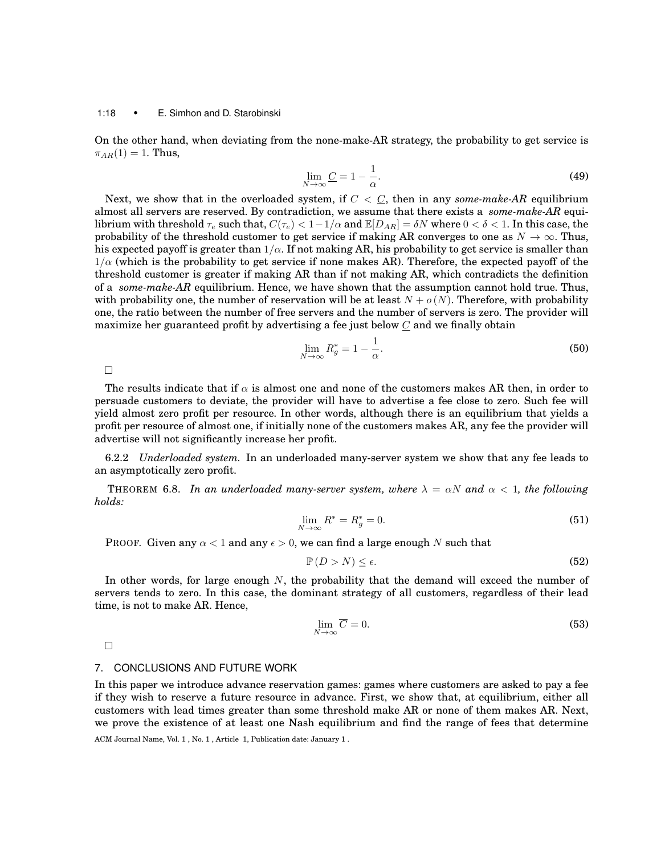## 1:18 • E. Simhon and D. Starobinski

On the other hand, when deviating from the none-make-AR strategy, the probability to get service is  $\pi_{AR}(1) = 1$ . Thus,

$$
\lim_{N \to \infty} \underline{C} = 1 - \frac{1}{\alpha}.\tag{49}
$$

Next, we show that in the overloaded system, if  $C < C$ , then in any *some-make-AR* equilibrium almost all servers are reserved. By contradiction, we assume that there exists a *some-make-AR* equilibrium with threshold  $\tau_e$  such that,  $C(\tau_e) < 1-1/\alpha$  and  $\mathbb{E}[D_{AR}] = \delta N$  where  $0 < \delta < 1$ . In this case, the probability of the threshold customer to get service if making AR converges to one as  $N \to \infty$ . Thus, his expected payoff is greater than  $1/\alpha$ . If not making AR, his probability to get service is smaller than  $1/\alpha$  (which is the probability to get service if none makes AR). Therefore, the expected payoff of the threshold customer is greater if making AR than if not making AR, which contradicts the definition of a *some-make-AR* equilibrium. Hence, we have shown that the assumption cannot hold true. Thus, with probability one, the number of reservation will be at least  $N + o(N)$ . Therefore, with probability one, the ratio between the number of free servers and the number of servers is zero. The provider will maximize her guaranteed profit by advertising a fee just below  $C$  and we finally obtain

$$
\lim_{N \to \infty} R_g^* = 1 - \frac{1}{\alpha}.\tag{50}
$$

 $\Box$ 

The results indicate that if  $\alpha$  is almost one and none of the customers makes AR then, in order to persuade customers to deviate, the provider will have to advertise a fee close to zero. Such fee will yield almost zero profit per resource. In other words, although there is an equilibrium that yields a profit per resource of almost one, if initially none of the customers makes AR, any fee the provider will advertise will not significantly increase her profit.

6.2.2 *Underloaded system.* In an underloaded many-server system we show that any fee leads to an asymptotically zero profit.

THEOREM 6.8. In an underloaded many-server system, where  $\lambda = \alpha N$  and  $\alpha < 1$ , the following *holds:*

$$
\lim_{N \to \infty} R^* = R_g^* = 0. \tag{51}
$$

PROOF. Given any  $\alpha < 1$  and any  $\epsilon > 0$ , we can find a large enough N such that

$$
\mathbb{P}\left(D > N\right) \leq \epsilon. \tag{52}
$$

In other words, for large enough N, the probability that the demand will exceed the number of servers tends to zero. In this case, the dominant strategy of all customers, regardless of their lead time, is not to make AR. Hence,

$$
\lim_{N \to \infty} \overline{C} = 0. \tag{53}
$$

 $\Box$ 

#### 7. CONCLUSIONS AND FUTURE WORK

In this paper we introduce advance reservation games: games where customers are asked to pay a fee if they wish to reserve a future resource in advance. First, we show that, at equilibrium, either all customers with lead times greater than some threshold make AR or none of them makes AR. Next, we prove the existence of at least one Nash equilibrium and find the range of fees that determine

ACM Journal Name, Vol. 1 , No. 1 , Article 1, Publication date: January 1 .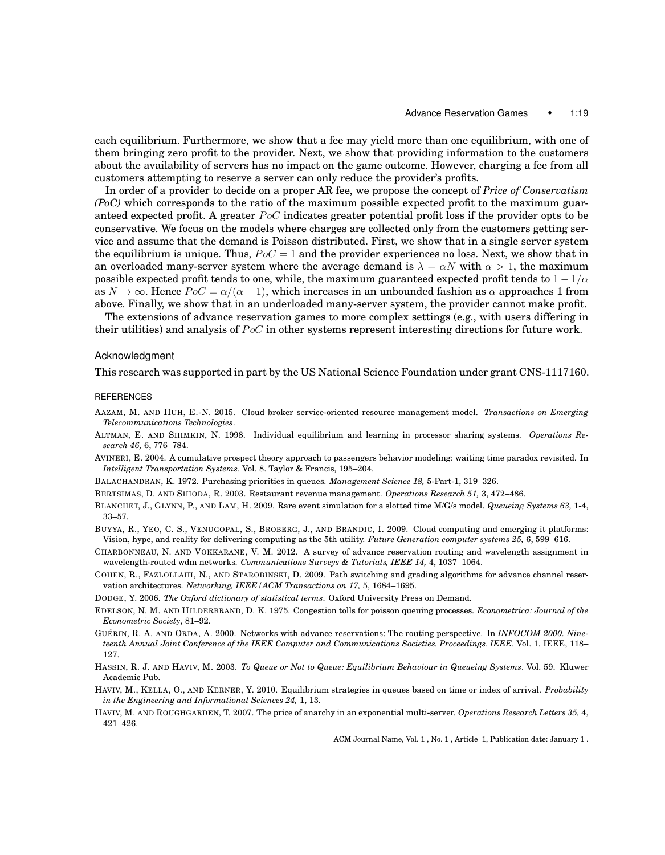each equilibrium. Furthermore, we show that a fee may yield more than one equilibrium, with one of them bringing zero profit to the provider. Next, we show that providing information to the customers about the availability of servers has no impact on the game outcome. However, charging a fee from all customers attempting to reserve a server can only reduce the provider's profits.

In order of a provider to decide on a proper AR fee, we propose the concept of *Price of Conservatism (PoC)* which corresponds to the ratio of the maximum possible expected profit to the maximum guaranteed expected profit. A greater  $PoC$  indicates greater potential profit loss if the provider opts to be conservative. We focus on the models where charges are collected only from the customers getting service and assume that the demand is Poisson distributed. First, we show that in a single server system the equilibrium is unique. Thus,  $PoC = 1$  and the provider experiences no loss. Next, we show that in an overloaded many-server system where the average demand is  $\lambda = \alpha N$  with  $\alpha > 1$ , the maximum possible expected profit tends to one, while, the maximum guaranteed expected profit tends to  $1 - 1/\alpha$ as  $N \to \infty$ . Hence  $PoC = \alpha/(\alpha - 1)$ , which increases in an unbounded fashion as  $\alpha$  approaches 1 from above. Finally, we show that in an underloaded many-server system, the provider cannot make profit.

The extensions of advance reservation games to more complex settings (e.g., with users differing in their utilities) and analysis of  $PoC$  in other systems represent interesting directions for future work.

## Acknowledgment

This research was supported in part by the US National Science Foundation under grant CNS-1117160.

#### **REFERENCES**

- AAZAM, M. AND HUH, E.-N. 2015. Cloud broker service-oriented resource management model. *Transactions on Emerging Telecommunications Technologies*.
- ALTMAN, E. AND SHIMKIN, N. 1998. Individual equilibrium and learning in processor sharing systems. *Operations Research 46,* 6, 776–784.
- AVINERI, E. 2004. A cumulative prospect theory approach to passengers behavior modeling: waiting time paradox revisited. In *Intelligent Transportation Systems*. Vol. 8. Taylor & Francis, 195–204.
- BALACHANDRAN, K. 1972. Purchasing priorities in queues. *Management Science 18,* 5-Part-1, 319–326.
- BERTSIMAS, D. AND SHIODA, R. 2003. Restaurant revenue management. *Operations Research 51,* 3, 472–486.
- BLANCHET, J., GLYNN, P., AND LAM, H. 2009. Rare event simulation for a slotted time M/G/s model. *Queueing Systems 63,* 1-4, 33–57.
- BUYYA, R., YEO, C. S., VENUGOPAL, S., BROBERG, J., AND BRANDIC, I. 2009. Cloud computing and emerging it platforms: Vision, hype, and reality for delivering computing as the 5th utility. *Future Generation computer systems 25,* 6, 599–616.
- CHARBONNEAU, N. AND VOKKARANE, V. M. 2012. A survey of advance reservation routing and wavelength assignment in wavelength-routed wdm networks. *Communications Surveys & Tutorials, IEEE 14,* 4, 1037–1064.
- COHEN, R., FAZLOLLAHI, N., AND STAROBINSKI, D. 2009. Path switching and grading algorithms for advance channel reservation architectures. *Networking, IEEE/ACM Transactions on 17,* 5, 1684–1695.
- DODGE, Y. 2006. *The Oxford dictionary of statistical terms*. Oxford University Press on Demand.
- EDELSON, N. M. AND HILDERBRAND, D. K. 1975. Congestion tolls for poisson queuing processes. *Econometrica: Journal of the Econometric Society*, 81–92.
- GUÉRIN, R. A. AND ORDA, A. 2000. Networks with advance reservations: The routing perspective. In *INFOCOM 2000. Nineteenth Annual Joint Conference of the IEEE Computer and Communications Societies. Proceedings. IEEE*. Vol. 1. IEEE, 118– 127.
- HASSIN, R. J. AND HAVIV, M. 2003. *To Queue or Not to Queue: Equilibrium Behaviour in Queueing Systems*. Vol. 59. Kluwer Academic Pub.
- HAVIV, M., KELLA, O., AND KERNER, Y. 2010. Equilibrium strategies in queues based on time or index of arrival. *Probability in the Engineering and Informational Sciences 24,* 1, 13.
- HAVIV, M. AND ROUGHGARDEN, T. 2007. The price of anarchy in an exponential multi-server. *Operations Research Letters 35,* 4, 421–426.